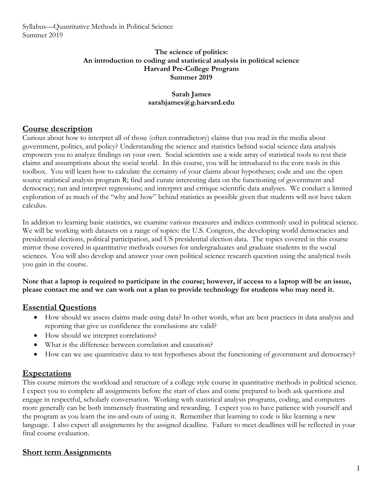#### **The science of politics: An introduction to coding and statistical analysis in political science Harvard Pre-College Program Summer 2019**

### **Sarah James sarahjames@g.harvard.edu**

# **Course description**

Curious about how to interpret all of those (often contradictory) claims that you read in the media about government, politics, and policy? Understanding the science and statistics behind social science data analysis empowers you to analyze findings on your own. Social scientists use a wide array of statistical tools to test their claims and assumptions about the social world. In this course, you will be introduced to the core tools in this toolbox. You will learn how to calculate the certainty of your claims about hypotheses; code and use the open source statistical analysis program R; find and curate interesting data on the functioning of government and democracy; run and interpret regressions; and interpret and critique scientific data analyses. We conduct a limited exploration of as much of the "why and how" behind statistics as possible given that students will not have taken calculus.

In addition to learning basic statistics, we examine various measures and indices commonly used in political science. We will be working with datasets on a range of topics: the U.S. Congress, the developing world democracies and presidential elections, political participation, and US presidential election data. The topics covered in this course mirror those covered in quantitative methods courses for undergraduates and graduate students in the social sciences. You will also develop and answer your own political science research question using the analytical tools you gain in the course.

**Note that a laptop is required to participate in the course; however, if access to a laptop will be an issue, please contact me and we can work out a plan to provide technology for students who may need it.**

# **Essential Questions**

- How should we assess claims made using data? In other words, what are best practices in data analysis and reporting that give us confidence the conclusions are valid?
- How should we interpret correlations?
- What is the difference between correlation and causation?
- How can we use quantitative data to test hypotheses about the functioning of government and democracy?

### **Expectations**

This course mirrors the workload and structure of a college style course in quantitative methods in political science. I expect you to complete all assignments before the start of class and come prepared to both ask questions and engage in respectful, scholarly conversation. Working with statistical analysis programs, coding, and computers more generally can be both immensely frustrating and rewarding. I expect you to have patience with yourself and the program as you learn the ins-and-outs of using it. Remember that learning to code is like learning a new language. I also expect all assignments by the assigned deadline. Failure to meet deadlines will be reflected in your final course evaluation.

# **Short term Assignments**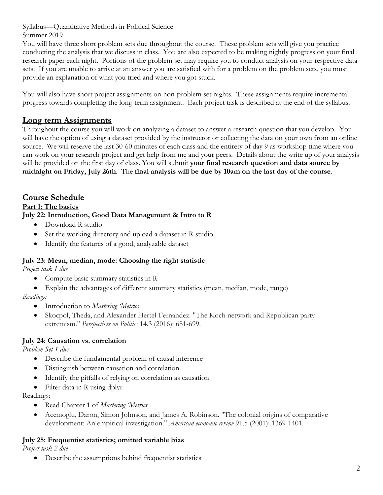Summer 2019

You will have three short problem sets due throughout the course. These problem sets will give you practice conducting the analysis that we discuss in class. You are also expected to be making nightly progress on your final research paper each night. Portions of the problem set may require you to conduct analysis on your respective data sets. If you are unable to arrive at an answer you are satisfied with for a problem on the problem sets, you must provide an explanation of what you tried and where you got stuck.

You will also have short project assignments on non-problem set nights. These assignments require incremental progress towards completing the long-term assignment. Each project task is described at the end of the syllabus.

# **Long term Assignments**

Throughout the course you will work on analyzing a dataset to answer a research question that you develop. You will have the option of using a dataset provided by the instructor or collecting the data on your own from an online source. We will reserve the last 30-60 minutes of each class and the entirety of day 9 as workshop time where you can work on your research project and get help from me and your peers. Details about the write up of your analysis will be provided on the first day of class. You will submit **your final research question and data source by midnight on Friday, July 26th**. The **final analysis will be due by 10am on the last day of the course**.

# **Course Schedule**

#### **Part 1: The basics**

### **July 22: Introduction, Good Data Management & Intro to R**

- Download R studio
- Set the working directory and upload a dataset in R studio
- Identify the features of a good, analyzable dataset

### **July 23: Mean, median, mode: Choosing the right statistic**

*Project task 1 due*

- Compute basic summary statistics in R
- Explain the advantages of different summary statistics (mean, median, mode, range)

*Readings:*

- Introduction to *Mastering 'Metrics*
- Skocpol, Theda, and Alexander Hertel-Fernandez. "The Koch network and Republican party extremism." *Perspectives on Politics* 14.3 (2016): 681-699.

### **July 24: Causation vs. correlation**

*Problem Set 1 due*

- Describe the fundamental problem of causal inference
- Distinguish between causation and correlation
- Identify the pitfalls of relying on correlation as causation
- Filter data in R using dplyr

Readings:

- Read Chapter 1 of *Mastering 'Metrics*
- Acemoglu, Daron, Simon Johnson, and James A. Robinson. "The colonial origins of comparative development: An empirical investigation." *American economic review* 91.5 (2001): 1369-1401.

### **July 25: Frequentist statistics; omitted variable bias**

*Project task 2 due*

• Describe the assumptions behind frequentist statistics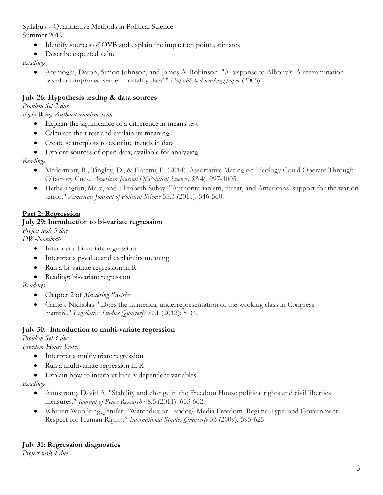- Summer 2019
	- Identify sources of OVB and explain the impact on point estimates
	- Describe expected value

### *Readings*

• Acemoglu, Daron, Simon Johnson, and James A. Robinson. "A response to Albouy's 'A reexamination based on improved settler mortality data'." *Unpublished working paper* (2005).

## **July 26: Hypothesis testing & data sources**

*Problem Set 2 due*

*Right Wing Authoritarianism Scale* 

- Explain the significance of a difference in means test
- Calculate the t-test and explain its meaning
- Create scatterplots to examine trends in data
- Explore sources of open data, available for analyzing

### *Readings*

- Mcdermott, R., Tingley, D., & Hatemi, P. (2014). Assortative Mating on Ideology Could Operate Through Olfactory Cues. *American Journal Of Political Science, 58*(4), 997-1005.
- Hetherington, Marc, and Elizabeth Suhay. "Authoritarianism, threat, and Americans' support for the war on terror." *American Journal of Political Science* 55.3 (2011): 546-560.

## **Part 2: Regression**

### **July 29: Introduction to bi-variate regression**

*Project task 3 due*

*DW-Nominate*

- Interpret a bi-variate regression
- Interpret a p-value and explain its meaning
- Run a bi-variate regression in R
- Reading: bi-variate regression

### *Readings*

- Chapter 2 of *Mastering 'Metrics*
- Carnes, Nicholas. "Does the numerical underrepresentation of the working class in Congress matter?." *Legislative Studies Quarterly* 37.1 (2012): 5-34.

### **July 30: Introduction to multi-variate regression**

*Problem Set 3 due*

*Freedom House Scores*

- Interpret a multivariate regression
- Run a multivariate regression in R
- Explain how to interpret binary dependent variables

### *Readings*

- Armstrong, David A. "Stability and change in the Freedom House political rights and civil liberties measures." *Journal of Peace Research* 48.5 (2011): 653-662.
- Whitten-Woodring, Jenifer. "Watchdog or Lapdog? Media Freedom, Regime Type, and Government Respect for Human Rights." *International Studies Quarterly* 53 (2009), 595-625

*Project task 4 due*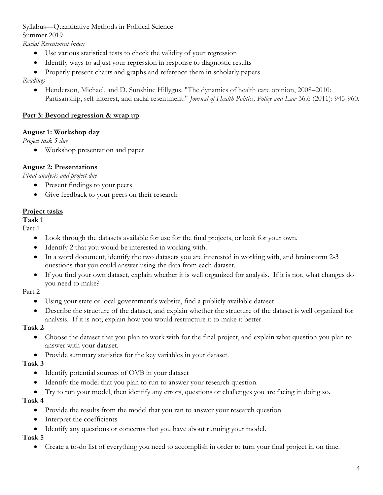Summer 2019

*Racial Resentment index*

- Use various statistical tests to check the validity of your regression
- Identify ways to adjust your regression in response to diagnostic results
- Properly present charts and graphs and reference them in scholarly papers

*Readings*

• Henderson, Michael, and D. Sunshine Hillygus. "The dynamics of health care opinion, 2008–2010: Partisanship, self-interest, and racial resentment." *Journal of Health Politics, Policy and Law* 36.6 (2011): 945-960.

# **Part 3: Beyond regression & wrap up**

# **August 1: Workshop day**

*Project task 5 due*

• Workshop presentation and paper

# **August 2: Presentations**

*Final analysis and project due*

- Present findings to your peers
- Give feedback to your peers on their research

## **Project tasks**

**Task 1**

Part 1

- Look through the datasets available for use for the final projects, or look for your own.
- Identify 2 that you would be interested in working with.
- In a word document, identify the two datasets you are interested in working with, and brainstorm 2-3 questions that you could answer using the data from each dataset.
- If you find your own dataset, explain whether it is well organized for analysis. If it is not, what changes do you need to make?

Part 2

- Using your state or local government's website, find a publicly available dataset
- Describe the structure of the dataset, and explain whether the structure of the dataset is well organized for analysis. If it is not, explain how you would restructure it to make it better

# **Task 2**

- Choose the dataset that you plan to work with for the final project, and explain what question you plan to answer with your dataset.
- Provide summary statistics for the key variables in your dataset.

# **Task 3**

- Identify potential sources of OVB in your dataset
- Identify the model that you plan to run to answer your research question.
- Try to run your model, then identify any errors, questions or challenges you are facing in doing so.

# **Task 4**

- Provide the results from the model that you ran to answer your research question.
- Interpret the coefficients
- Identify any questions or concerns that you have about running your model.

# **Task 5**

• Create a to-do list of everything you need to accomplish in order to turn your final project in on time.